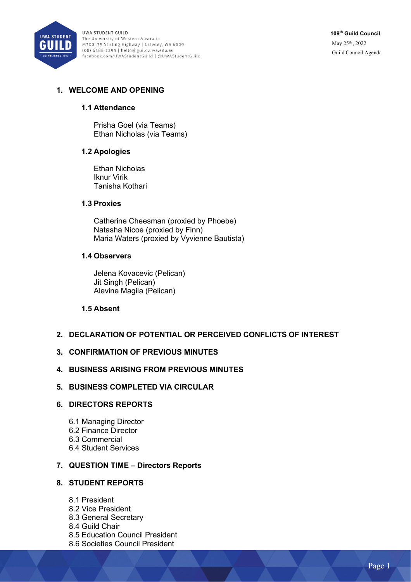

UWA STUDENT GUILD The University of Western Australia M300, 35 Stirling Highway | Crawley, WA 6009 (08) 6488 2295 | hello@guild.uwa.edu.au facebook.com/UWAStudentGuild | @UWAStudentGuild **109th Guild Council** May 25th , 2022 Guild Council Agenda

# **1. WELCOME AND OPENING**

### **1.1 Attendance**

Prisha Goel (via Teams) Ethan Nicholas (via Teams)

## **1.2 Apologies**

Ethan Nicholas Iknur Virik Tanisha Kothari

### **1.3 Proxies**

Catherine Cheesman (proxied by Phoebe) Natasha Nicoe (proxied by Finn) Maria Waters (proxied by Vyvienne Bautista)

### **1.4 Observers**

Jelena Kovacevic (Pelican) Jit Singh (Pelican) Alevine Magila (Pelican)

### **1.5 Absent**

## **2. DECLARATION OF POTENTIAL OR PERCEIVED CONFLICTS OF INTEREST**

## **3. CONFIRMATION OF PREVIOUS MINUTES**

### **4. BUSINESS ARISING FROM PREVIOUS MINUTES**

**5. BUSINESS COMPLETED VIA CIRCULAR**

## **6. DIRECTORS REPORTS**

- 6.1 Managing Director 6.2 Finance Director 6.3 Commercial
- 6.4 Student Services

## **7. QUESTION TIME – Directors Reports**

## **8. STUDENT REPORTS**

- 8.1 President
- 8.2 Vice President
- 8.3 General Secretary
- 8.4 Guild Chair
- 8.5 Education Council President
- 8.6 Societies Council President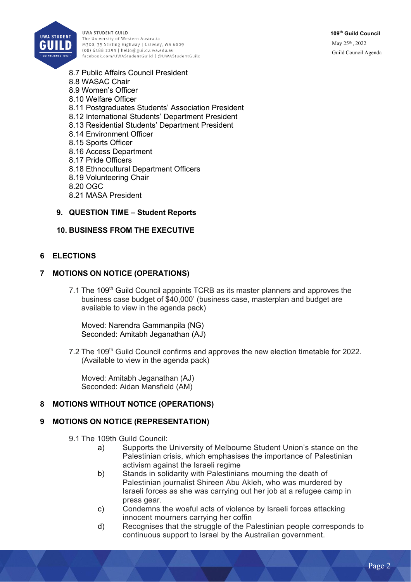

**UWA STUDENT GUILD** The University of Western Australia M300, 35 Stirling Highway | Crawley, WA 6009 (08) 6488 2295 | hello@guild.uwa.edu.au .<br>facebook.com/UWAStudentGuild | @UWAStudentGuild **109th Guild Council** May 25th , 2022 Guild Council Agenda

- 8.7 Public Affairs Council President 8.8 WASAC Chair 8.9 Women's Officer 8.10 Welfare Officer 8.11 Postgraduates Students' Association President 8.12 International Students' Department President 8.13 Residential Students' Department President 8.14 Environment Officer 8.15 Sports Officer 8.16 Access Department
- 8.17 Pride Officers
- 8.18 Ethnocultural Department Officers
- 8.19 Volunteering Chair
- 8.20 OGC
- 8.21 MASA President

## **9. QUESTION TIME – Student Reports**

### **10. BUSINESS FROM THE EXECUTIVE**

### **6 ELECTIONS**

### **7 MOTIONS ON NOTICE (OPERATIONS)**

7.1 The 109<sup>th</sup> Guild Council appoints TCRB as its master planners and approves the business case budget of \$40,000' (business case, masterplan and budget are available to view in the agenda pack)

Moved: Narendra Gammanpila (NG) Seconded: Amitabh Jeganathan (AJ)

7.2 The 109<sup>th</sup> Guild Council confirms and approves the new election timetable for 2022. (Available to view in the agenda pack)

Moved: Amitabh Jeganathan (AJ) Seconded: Aidan Mansfield (AM)

## **8 MOTIONS WITHOUT NOTICE (OPERATIONS)**

## **9 MOTIONS ON NOTICE (REPRESENTATION)**

- 9.1 The 109th Guild Council:
	- a) Supports the University of Melbourne Student Union's stance on the Palestinian crisis, which emphasises the importance of Palestinian activism against the Israeli regime
	- b) Stands in solidarity with Palestinians mourning the death of Palestinian journalist Shireen Abu Akleh, who was murdered by Israeli forces as she was carrying out her job at a refugee camp in press gear.
	- c) Condemns the woeful acts of violence by Israeli forces attacking innocent mourners carrying her coffin
	- d) Recognises that the struggle of the Palestinian people corresponds to continuous support to Israel by the Australian government.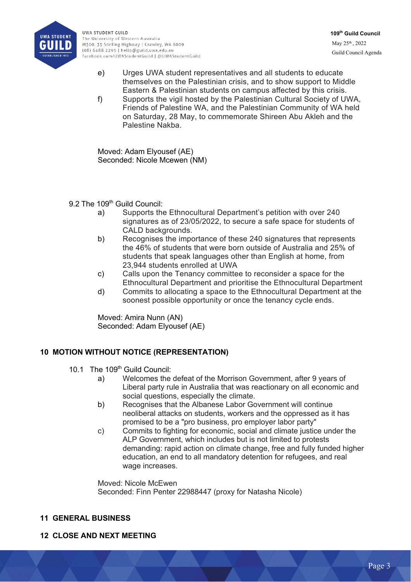

**UWA STUDENT GUILD** The University of Western Australia M300, 35 Stirling Highway | Crawley, WA 6009  $(08) 6488 2295$  | hello@guild.uwa.edu.au facebook.com/UWAStudentGuild | @UWAStudentGuild

- e) Urges UWA student representatives and all students to educate themselves on the Palestinian crisis, and to show support to Middle Eastern & Palestinian students on campus affected by this crisis.
- f) Supports the vigil hosted by the Palestinian Cultural Society of UWA, Friends of Palestine WA, and the Palestinian Community of WA held on Saturday, 28 May, to commemorate Shireen Abu Akleh and the Palestine Nakba.

Moved: Adam Elyousef (AE) Seconded: Nicole Mcewen (NM)

9.2 The 109<sup>th</sup> Guild Council:

- a) Supports the Ethnocultural Department's petition with over 240 signatures as of 23/05/2022, to secure a safe space for students of CALD backgrounds.
- b) Recognises the importance of these 240 signatures that represents the 46% of students that were born outside of Australia and 25% of students that speak languages other than English at home, from 23,944 students enrolled at UWA
- c) Calls upon the Tenancy committee to reconsider a space for the Ethnocultural Department and prioritise the Ethnocultural Department
- d) Commits to allocating a space to the Ethnocultural Department at the soonest possible opportunity or once the tenancy cycle ends.

Moved: Amira Nunn (AN) Seconded: Adam Elyousef (AE)

# **10 MOTION WITHOUT NOTICE (REPRESENTATION)**

- 10.1 The 109<sup>th</sup> Guild Council:
	- a) Welcomes the defeat of the Morrison Government, after 9 years of Liberal party rule in Australia that was reactionary on all economic and social questions, especially the climate.
	- b) Recognises that the Albanese Labor Government will continue neoliberal attacks on students, workers and the oppressed as it has promised to be a "pro business, pro employer labor party"
	- c) Commits to fighting for economic, social and climate justice under the ALP Government, which includes but is not limited to protests demanding: rapid action on climate change, free and fully funded higher education, an end to all mandatory detention for refugees, and real wage increases.

Moved: Nicole McEwen Seconded: Finn Penter 22988447 (proxy for Natasha Nicole)

## **11 GENERAL BUSINESS**

# **12 CLOSE AND NEXT MEETING**